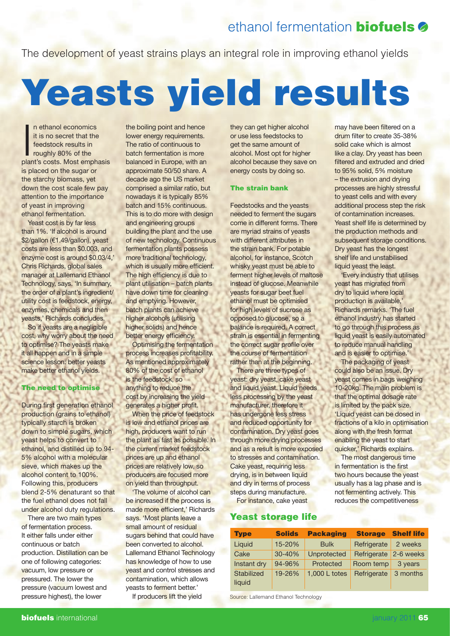# ethanol fermentation **biofuels**

The development of yeast strains plays an integral role in improving ethanol yields

# Yeasts yield results

In ethanol economics<br>it is no secret that the<br>feedstock results in<br>roughly 80% of the<br>plant's costs. Most emphasis n ethanol economics it is no secret that the feedstock results in roughly 80% of the is placed on the sugar or the starchy biomass, yet down the cost scale few pay attention to the importance of yeast in improving ethanol fermentation.

Yeast cost is by far less than 1%. 'If alcohol is around \$2/gallon (€1.49/gallon), yeast costs are less than \$0.003, and enzyme cost is around \$0.03/4,' Chris Richards, global sales manager at Lallemand Ethanol Technology, says. 'In summary, the order of a plant's ingredient/ utility cost is feedstock, energy, enzymes, chemicals and then yeasts,' Richards concludes.

So if yeasts are a negligible cost, why worry about the need to optimise? The yeasts make it all happen and in a simple science lesson: better yeasts make better ethanol yields.

### The need to optimise

During first generation ethanol production (grains to ethanol) typically starch is broken down to simple sugars, which yeast helps to convert to ethanol, and distilled up to 94- 5% alcohol with a molecular sieve, which makes up the alcohol content to 100%. Following this, producers blend 2-5% denaturant so that the fuel ethanol does not fall under alcohol duty regulations.

There are two main types of fermentation process. It either falls under either continuous or batch production. Distillation can be one of following categories: vacuum, low pressure or pressured. The lower the pressure (vacuum lowest and pressure highest), the lower

the boiling point and hence lower energy requirements. The ratio of continuous to batch fermentation is more balanced in Europe, with an approximate 50/50 share. A decade ago the US market comprised a similar ratio, but nowadays it is typically 85% batch and 15% continuous. This is to do more with design and engineering groups building the plant and the use of new technology. Continuous fermentation plants possess more traditional technology, which is usually more efficient. The high efficiency is due to plant utilisation – batch plants have down time for cleaning and emptying. However, batch plants can achieve higher alcohols (utilising higher solids) and hence better energy efficiency.

Optimising the fermentation process increases profitability. As mentioned approximately 80% of the cost of ethanol is the feedstock, so anything to reduce the cost by increasing the yield generates a higher profit.

When the price of feedstock is low and ethanol prices are high, producers want to run the plant as fast as possible. In the current market feedstock prices are up and ethanol prices are relatively low, so producers are focused more on yield than throughput.

'The volume of alcohol can be increased if the process is made more efficient,' Richards says. 'Most plants leave a small amount of residual sugars behind that could have been converted to alcohol. Lallemand Ethanol Technology has knowledge of how to use yeast and control stresses and contamination, which allows yeasts to ferment better.' If producers lift the yield

they can get higher alcohol or use less feedstocks to get the same amount of alcohol. Most opt for higher alcohol because they save on energy costs by doing so.

### The strain bank

Feedstocks and the yeasts needed to ferment the sugars come in different forms. There are myriad strains of yeasts with different attributes in the strain bank. For potable alcohol, for instance, Scotch whisky yeast must be able to ferment higher levels of maltose instead of glucose. Meanwhile yeasts for sugar beet fuel ethanol must be optimised for high levels of sucrose as opposed to glucose, so a balance is required. A correct strain is essential in fermenting the correct sugar profile over the course of fermentation rather than at the beginning.

There are three types of yeast: dry yeast, cake yeast and liquid yeast. Liquid needs less processing by the yeast manufacturer, therefore it has undergone less stress and reduced opportunity for contamination. Dry yeast goes through more drying processes and as a result is more exposed to stresses and contamination. Cake yeast, requiring less drying, is in between liquid and dry in terms of process steps during manufacture.

For instance, cake yeast

## Yeast storage life

Type Solids Packaging Storage Shelf life Liquid 15-20% Bulk Refrigerate 2 weeks Cake 30-40% Unprotected Refrigerate 2-6 weeks Instant dry 94-96% Protected Room temp 3 years Stabilized 19-26% 1,000 L totes Refrigerate 3 months liquid

Source: Lallemand Ethanol Technology

may have been filtered on a drum filter to create 35-38% solid cake which is almost like a clay. Dry yeast has been filtered and extruded and dried to 95% solid, 5% moisture – the extrusion and drying processes are highly stressful to yeast cells and with every additional process step the risk of contamination increases. Yeast shelf life is determined by the production methods and subsequent storage conditions. Dry yeast has the longest shelf life and unstabilised liquid yeast the least.

'Every industry that utilises yeast has migrated from dry to liquid where local production is available,' Richards remarks. 'The fuel ethanol industry has started to go through this process as liquid yeast is easily automated to reduce manual handling and is easier to optimise.'

The packaging of yeast could also be an issue. Dry yeast comes in bags weighing 10-20kg. The main problem is that the optimal dosage rate is limited by the pack size. 'Liquid yeast can be dosed in fractions of a kilo in optimisation along with the fresh format enabling the yeast to start quicker,' Richards explains.

The most dangerous time in fermentation is the first two hours because the yeast usually has a lag phase and is not fermenting actively. This reduces the competitiveness